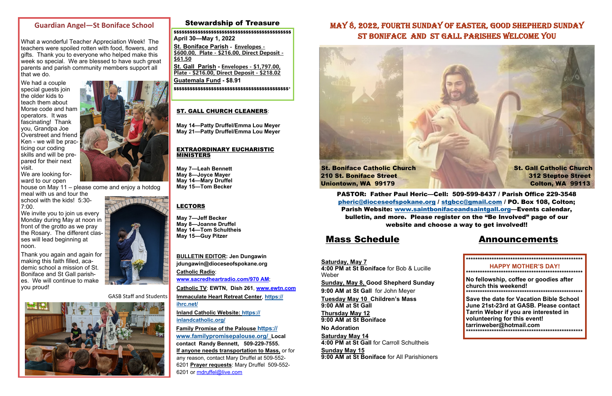## Stewardship of Treasure

## Mass Schedule Announcements

**Saturday, May 7 4:00 PM at St Boniface** for Bob & Lucille Weber **Sunday, May 8, Good Shepherd Sunday 9:00 AM at St Gall** for John Meyer **Tuesday May 10 Children's Mass 9:00 AM at St Gall Thursday May 12 9:00 AM at St Boniface No Adoration Saturday May 14 4:00 PM at St Gall** for Carroll Schultheis**Sunday May 15 9:00 AM at St Boniface** for All Parishioners

**BULLETIN EDITOR: Jen Dungawin jdungawin@dioceseofspokane.org Catholic Radio**: **www.sacredheartradio.com/970 AM**; **Catholic TV**: **EWTN, Dish 261**, **www.ewtn.com**

**Immaculate Heart Retreat Center**, **https:// ihrc.net/**

**Inland Catholic Website: https:// inlandcatholic.org/**

**Family Promise of the Palouse https:// www.familypromisepalouse.org/ Local contact Randy Bennett, 509-229-7555. If anyone needs transportation to Mass,** or for any reason, contact Mary Druffel at 509-552- 6201 **Prayer requests**: Mary Druffel 509-552- 6201 or mdruffel@live.com

We invite you to join us every Monday during May at noon in front of the grotto as we pray the Rosary. The different classes will lead beginning at noon.

## **Guardian Angel—St Boniface School**

What a wonderful Teacher Appreciation Week! The teachers were spoiled rotten with food, flowers, and gifts. Thank you to everyone who helped make this week so special. We are blessed to have such great parents and parish community members support all that we do.

We had a couple special guests join the older kids to teach them about Morse code and ham operators. It was fascinating! Thank you, Grandpa Joe Overstreet and friend Ken - we will be practicing our coding skills and will be prepared for their next visit.

We are looking forward to our open

house on May 11 – please come and enjoy a hotdog



meal with us and tour the school with the kids! 5:30-7:00.

210 St. Boniface Street 312 Steptoe Street Uniontown, WA 99179 Colton, WA 99113

Thank you again and again for making this faith filled, academic school a mission of St. Boniface and St Gall parishes. We will continue to make you proud!



GASB Staff and Students



## MAY 8, 2022, FOURTH SUNDAY OF EASTER, GOOD SHEPHERD SUNDAY ST BONIFACE AND ST GALL PARISHES WELCOME YOU

### ST. GALL CHURCH CLEANERS:

**May 14—Patty Druffel/Emma Lou Meyer May 21—Patty Druffel/Emma Lou Meyer** 

#### EXTRAORDINARY EUCHARISTIC MINISTERS

**May 7—Leah Bennett May 8—Joyce Mayer May 14—Mary Druffel May 15—Tom Becker** 

### LECTORS

**May 7—Jeff Becker May 8—Joanne Druffel May 14—Tom Schultheis May 15—Guy Pitzer** 

> **\*\*\*\*\*\*\*\*\*\*\*\*\*\*\*\*\*\*\*\*\*\*\*\*\*\*\*\*\*\*\*\*\*\*\*\*\*\*\*\*\*\*\*\*\*\*\*\*\*\* HAPPY MOTHER'S DAY! \*\*\*\*\*\*\*\*\*\*\*\*\*\*\*\*\*\*\*\*\*\*\*\*\*\*\*\*\*\*\*\*\*\*\*\*\*\*\*\*\*\*\*\*\*\*\*\*\*\* No fellowship, coffee or goodies after church this weekend! \*\*\*\*\*\*\*\*\*\*\*\*\*\*\*\*\*\*\*\*\*\*\*\*\*\*\*\*\*\*\*\*\*\*\*\*\*\*\*\*\*\*\*\*\*\*\*\*\*\* Save the date for Vacation Bible School June 21st-23rd at GASB. Please contact Tarrin Weber if you are interested in volunteering for this event! tarrinweber@hotmail.com \*\*\*\*\*\*\*\*\*\*\*\*\*\*\*\*\*\*\*\*\*\*\*\*\*\*\*\*\*\*\*\*\*\*\*\*\*\*\*\*\*\*\*\*\*\*\*\*\*\***

\$\$\$\$\$\$\$\$\$\$\$\$\$\$\$\$\$\$\$\$\$\$\$\$\$\$\$\$\$\$\$\$\$\$\$\$\$\$\$\$\$\$\$\$ **April 30—May 1, 2022** 

**St. Boniface Parish - Envelopes - \$600.00, Plate - \$216.00, Direct Deposit - \$61.50** 

**St. Gall Parish - Envelopes - \$1,797.00, Plate - \$216.00, Direct Deposit - \$218.02 Guatemala Fund - \$8.91** 

\$\$\$\$\$\$\$\$\$\$\$\$\$\$\$\$\$\$\$\$\$\$\$\$\$\$\$\$\$\$\$\$\$\$\$\$\$\$\$\$\$\$\$\*



PASTOR: Father Paul Heric—Cell: 509-599-8437 / Parish Office 229-3548 pheric@dioceseofspokane.org / stgbcc@gmail.com / PO. Box 108, Colton; Parish Website: www.saintbonifaceandsaintgall.org—Events calendar, bulletin, and more. Please register on the "Be Involved" page of our website and choose a way to get involved!!